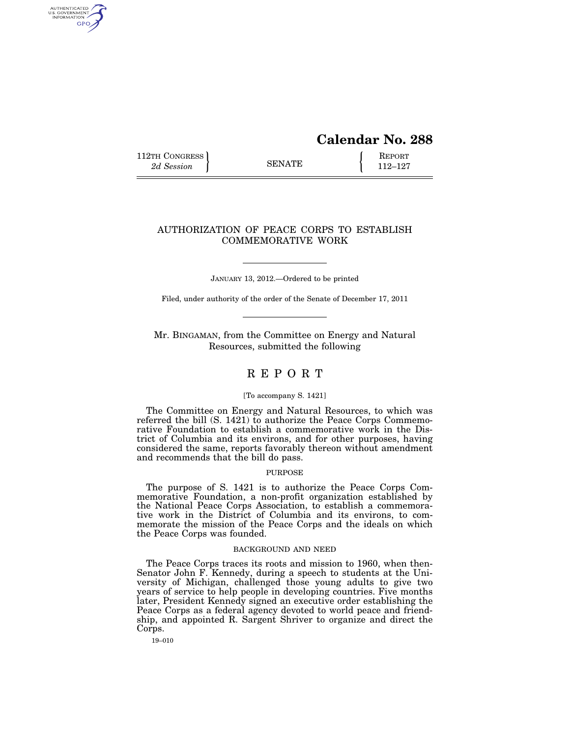# **Calendar No. 288**

112TH CONGRESS **REPORT** 2d Session **112–127** 

AUTHENTICATED<br>U.S. GOVERNMENT<br>INFORMATION GPO

## AUTHORIZATION OF PEACE CORPS TO ESTABLISH COMMEMORATIVE WORK

JANUARY 13, 2012.—Ordered to be printed

Filed, under authority of the order of the Senate of December 17, 2011

Mr. BINGAMAN, from the Committee on Energy and Natural Resources, submitted the following

## R E P O R T

#### [To accompany S. 1421]

The Committee on Energy and Natural Resources, to which was referred the bill (S. 1421) to authorize the Peace Corps Commemorative Foundation to establish a commemorative work in the District of Columbia and its environs, and for other purposes, having considered the same, reports favorably thereon without amendment and recommends that the bill do pass.

#### PURPOSE

The purpose of S. 1421 is to authorize the Peace Corps Commemorative Foundation, a non-profit organization established by the National Peace Corps Association, to establish a commemorative work in the District of Columbia and its environs, to commemorate the mission of the Peace Corps and the ideals on which the Peace Corps was founded.

#### BACKGROUND AND NEED

The Peace Corps traces its roots and mission to 1960, when then-Senator John F. Kennedy, during a speech to students at the University of Michigan, challenged those young adults to give two years of service to help people in developing countries. Five months later, President Kennedy signed an executive order establishing the Peace Corps as a federal agency devoted to world peace and friendship, and appointed R. Sargent Shriver to organize and direct the Corps.

19–010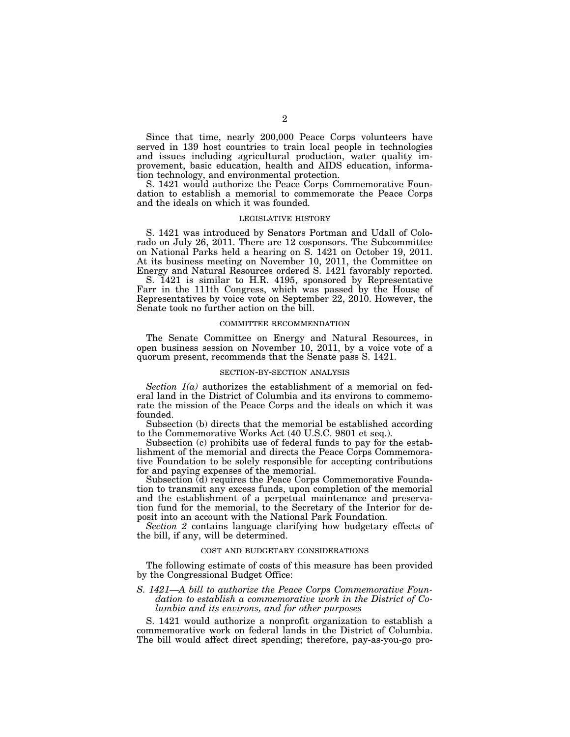Since that time, nearly 200,000 Peace Corps volunteers have served in 139 host countries to train local people in technologies and issues including agricultural production, water quality improvement, basic education, health and AIDS education, information technology, and environmental protection.

S. 1421 would authorize the Peace Corps Commemorative Foundation to establish a memorial to commemorate the Peace Corps and the ideals on which it was founded.

#### LEGISLATIVE HISTORY

S. 1421 was introduced by Senators Portman and Udall of Colorado on July 26, 2011. There are 12 cosponsors. The Subcommittee on National Parks held a hearing on S. 1421 on October 19, 2011. At its business meeting on November 10, 2011, the Committee on Energy and Natural Resources ordered S. 1421 favorably reported.

S. 1421 is similar to H.R. 4195, sponsored by Representative Farr in the 111th Congress, which was passed by the House of Representatives by voice vote on September 22, 2010. However, the Senate took no further action on the bill.

#### COMMITTEE RECOMMENDATION

The Senate Committee on Energy and Natural Resources, in open business session on November 10, 2011, by a voice vote of a quorum present, recommends that the Senate pass S. 1421.

#### SECTION-BY-SECTION ANALYSIS

*Section 1(a)* authorizes the establishment of a memorial on federal land in the District of Columbia and its environs to commemorate the mission of the Peace Corps and the ideals on which it was founded.

Subsection (b) directs that the memorial be established according to the Commemorative Works Act (40 U.S.C. 9801 et seq.).

Subsection (c) prohibits use of federal funds to pay for the establishment of the memorial and directs the Peace Corps Commemorative Foundation to be solely responsible for accepting contributions for and paying expenses of the memorial.

Subsection (d) requires the Peace Corps Commemorative Foundation to transmit any excess funds, upon completion of the memorial and the establishment of a perpetual maintenance and preservation fund for the memorial, to the Secretary of the Interior for deposit into an account with the National Park Foundation.

*Section 2* contains language clarifying how budgetary effects of the bill, if any, will be determined.

#### COST AND BUDGETARY CONSIDERATIONS

The following estimate of costs of this measure has been provided by the Congressional Budget Office:

### *S. 1421—A bill to authorize the Peace Corps Commemorative Foundation to establish a commemorative work in the District of Columbia and its environs, and for other purposes*

S. 1421 would authorize a nonprofit organization to establish a commemorative work on federal lands in the District of Columbia. The bill would affect direct spending; therefore, pay-as-you-go pro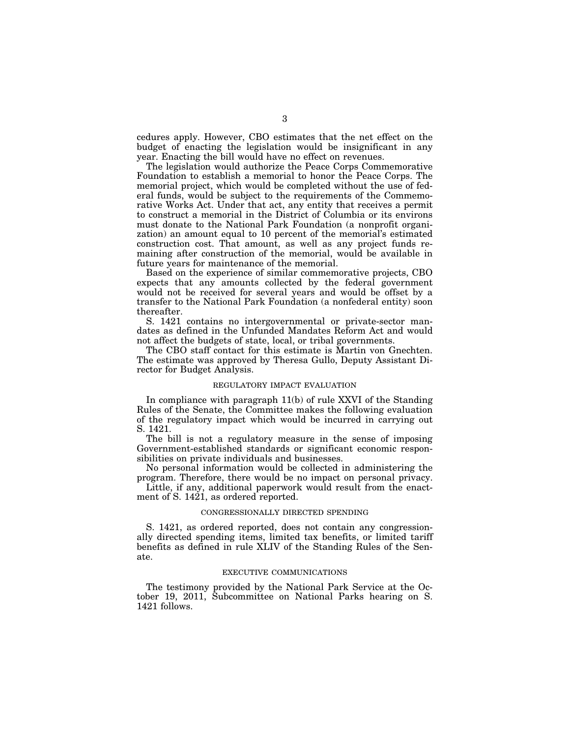cedures apply. However, CBO estimates that the net effect on the budget of enacting the legislation would be insignificant in any year. Enacting the bill would have no effect on revenues.

The legislation would authorize the Peace Corps Commemorative Foundation to establish a memorial to honor the Peace Corps. The memorial project, which would be completed without the use of federal funds, would be subject to the requirements of the Commemorative Works Act. Under that act, any entity that receives a permit to construct a memorial in the District of Columbia or its environs must donate to the National Park Foundation (a nonprofit organization) an amount equal to 10 percent of the memorial's estimated construction cost. That amount, as well as any project funds remaining after construction of the memorial, would be available in future years for maintenance of the memorial.

Based on the experience of similar commemorative projects, CBO expects that any amounts collected by the federal government would not be received for several years and would be offset by a transfer to the National Park Foundation (a nonfederal entity) soon thereafter.

S. 1421 contains no intergovernmental or private-sector mandates as defined in the Unfunded Mandates Reform Act and would not affect the budgets of state, local, or tribal governments.

The CBO staff contact for this estimate is Martin von Gnechten. The estimate was approved by Theresa Gullo, Deputy Assistant Director for Budget Analysis.

#### REGULATORY IMPACT EVALUATION

In compliance with paragraph 11(b) of rule XXVI of the Standing Rules of the Senate, the Committee makes the following evaluation of the regulatory impact which would be incurred in carrying out S. 1421.

The bill is not a regulatory measure in the sense of imposing Government-established standards or significant economic responsibilities on private individuals and businesses.

No personal information would be collected in administering the program. Therefore, there would be no impact on personal privacy.

Little, if any, additional paperwork would result from the enactment of S. 1421, as ordered reported.

#### CONGRESSIONALLY DIRECTED SPENDING

S. 1421, as ordered reported, does not contain any congressionally directed spending items, limited tax benefits, or limited tariff benefits as defined in rule XLIV of the Standing Rules of the Senate.

#### EXECUTIVE COMMUNICATIONS

The testimony provided by the National Park Service at the October 19, 2011, Subcommittee on National Parks hearing on S. 1421 follows.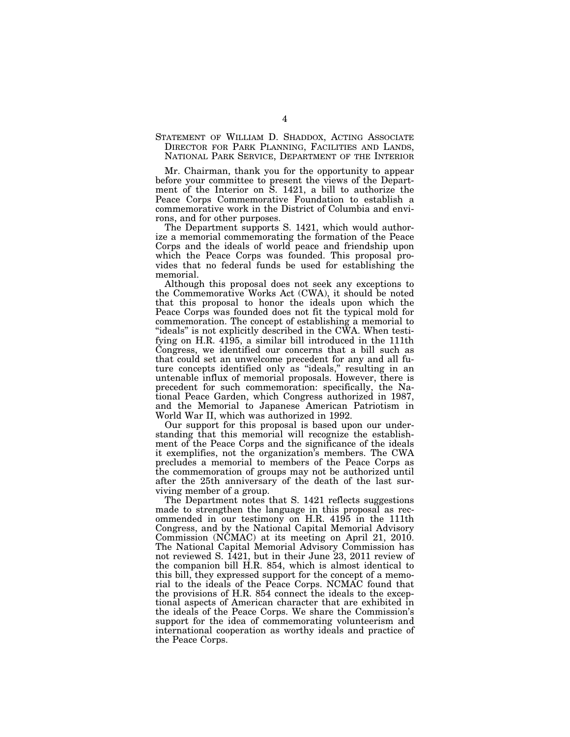STATEMENT OF WILLIAM D. SHADDOX, ACTING ASSOCIATE DIRECTOR FOR PARK PLANNING, FACILITIES AND LANDS, NATIONAL PARK SERVICE, DEPARTMENT OF THE INTERIOR

Mr. Chairman, thank you for the opportunity to appear before your committee to present the views of the Department of the Interior on S. 1421, a bill to authorize the Peace Corps Commemorative Foundation to establish a commemorative work in the District of Columbia and environs, and for other purposes.

The Department supports S. 1421, which would authorize a memorial commemorating the formation of the Peace Corps and the ideals of world peace and friendship upon which the Peace Corps was founded. This proposal provides that no federal funds be used for establishing the memorial.

Although this proposal does not seek any exceptions to the Commemorative Works Act (CWA), it should be noted that this proposal to honor the ideals upon which the Peace Corps was founded does not fit the typical mold for commemoration. The concept of establishing a memorial to ''ideals'' is not explicitly described in the CWA. When testifying on H.R. 4195, a similar bill introduced in the 111th Congress, we identified our concerns that a bill such as that could set an unwelcome precedent for any and all future concepts identified only as ''ideals,'' resulting in an untenable influx of memorial proposals. However, there is precedent for such commemoration: specifically, the National Peace Garden, which Congress authorized in 1987, and the Memorial to Japanese American Patriotism in World War II, which was authorized in 1992.

Our support for this proposal is based upon our understanding that this memorial will recognize the establishment of the Peace Corps and the significance of the ideals it exemplifies, not the organization's members. The CWA precludes a memorial to members of the Peace Corps as the commemoration of groups may not be authorized until after the 25th anniversary of the death of the last surviving member of a group.

The Department notes that S. 1421 reflects suggestions made to strengthen the language in this proposal as recommended in our testimony on H.R. 4195 in the 111th Congress, and by the National Capital Memorial Advisory Commission (NCMAC) at its meeting on April 21, 2010. The National Capital Memorial Advisory Commission has not reviewed S. 1421, but in their June 23, 2011 review of the companion bill H.R. 854, which is almost identical to this bill, they expressed support for the concept of a memorial to the ideals of the Peace Corps. NCMAC found that the provisions of H.R. 854 connect the ideals to the exceptional aspects of American character that are exhibited in the ideals of the Peace Corps. We share the Commission's support for the idea of commemorating volunteerism and international cooperation as worthy ideals and practice of the Peace Corps.